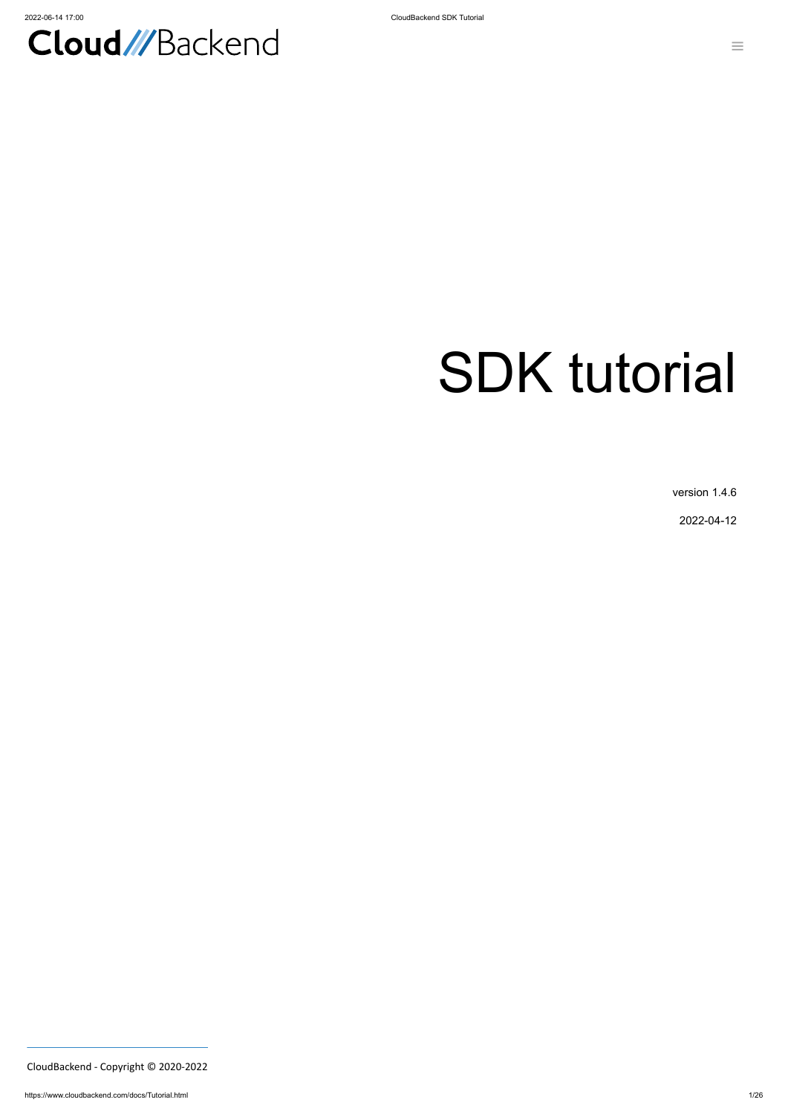

# SDK tutorial

version 1.4.6

2022-04-12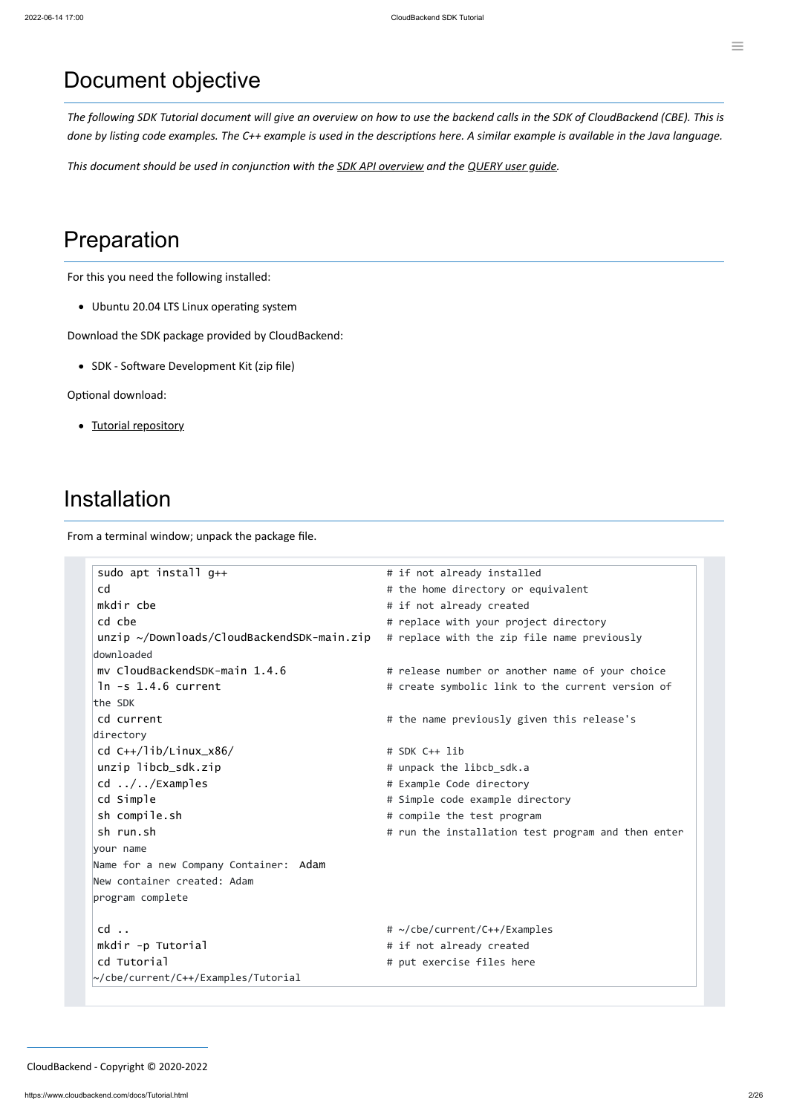## Document objective

The following SDK Tutorial document will give an overview on how to use the backend calls in the SDK of CloudBackend (CBE). This is done by listing code examples. The C++ example is used in the descriptions here. A similar example is available in the Java language.

*This document should be used in conjunction with the SDK API [overview](https://www.cloudbackend.com/docs/APIov.html) and the [QUERY](https://www.cloudbackend.com/docs/QUERYug.html) user guide.*

## Preparation

For this you need the following installed:

Ubuntu 20.04 LTS Linux operating system

Download the SDK package provided by CloudBackend:

• SDK - Software Development Kit (zip file)

Optional download:

• [Tutorial repository](https://www.cloudbackend.com/docs/Tutorial.zip)

## Installation

From a terminal window; unpack the package file.

| sudo apt install $q_{++}$                              | # if not already installed                         |  |
|--------------------------------------------------------|----------------------------------------------------|--|
| cd                                                     | # the home directory or equivalent                 |  |
| mkdir cbe                                              | # if not already created                           |  |
| cd cbe                                                 | # replace with your project directory              |  |
| $unzip \sim\!/Down$ lownloads/CloudBackendSDK-main.zip | # replace with the zip file name previously        |  |
| downloaded                                             |                                                    |  |
| my CloudBackendSDK-main 1.4.6                          | # release number or another name of your choice    |  |
| $ln -s$ 1.4.6 current                                  | # create symbolic link to the current version of   |  |
| the SDK                                                |                                                    |  |
| cd current                                             | # the name previously given this release's         |  |
| directory                                              |                                                    |  |
| cd $C_{++}/lib/Linux_x86/$                             | # SDK C++ lib                                      |  |
| unzip libcb_sdk.zip                                    | # unpack the libcb_sdk.a                           |  |
| $cd$ //Examples                                        | # Example Code directory                           |  |
| cd Simple                                              | # Simple code example directory                    |  |
| sh compile.sh                                          | # compile the test program                         |  |
| sh run.sh                                              | # run the installation test program and then enter |  |
|                                                        |                                                    |  |

your name

| Name for a new Company Container: Adam<br>New container created: Adam<br>program complete |  |
|-------------------------------------------------------------------------------------------|--|
| cd                                                                                        |  |
| mkdir -p Tutorial                                                                         |  |
| cd Tutorial                                                                               |  |
| ~/cbe/current/C++/Examples/Tutorial                                                       |  |

# ~/cbe/current/C++/Examples # if not already created # put exercise files here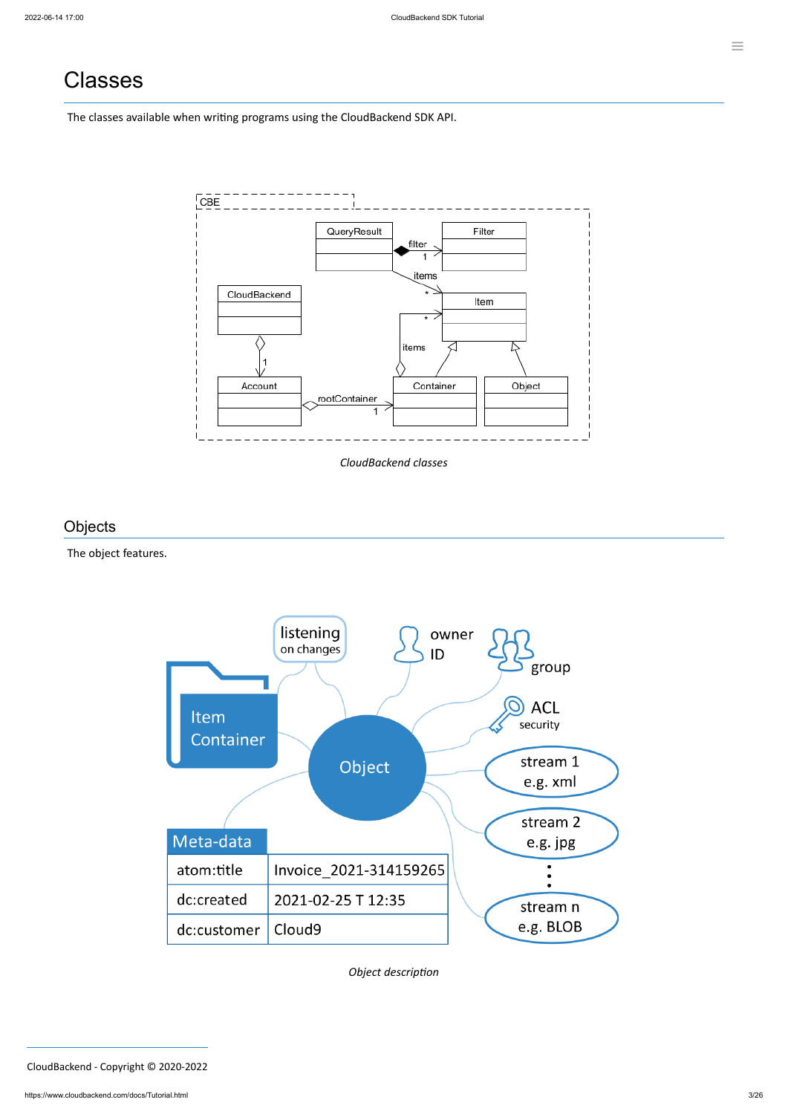## Classes

The classes available when writing programs using the CloudBackend SDK API.



*CloudBackend classes*

## **Objects**

### The object features.



| -ivieta-uata         |                        | e.g. JPB  |
|----------------------|------------------------|-----------|
| atom:title           | Invoice 2021-314159265 |           |
| dc:created           | 2021-02-25 T 12:35     | stream n  |
| dc:customer   Cloud9 |                        | e.g. BLOB |

*Object description*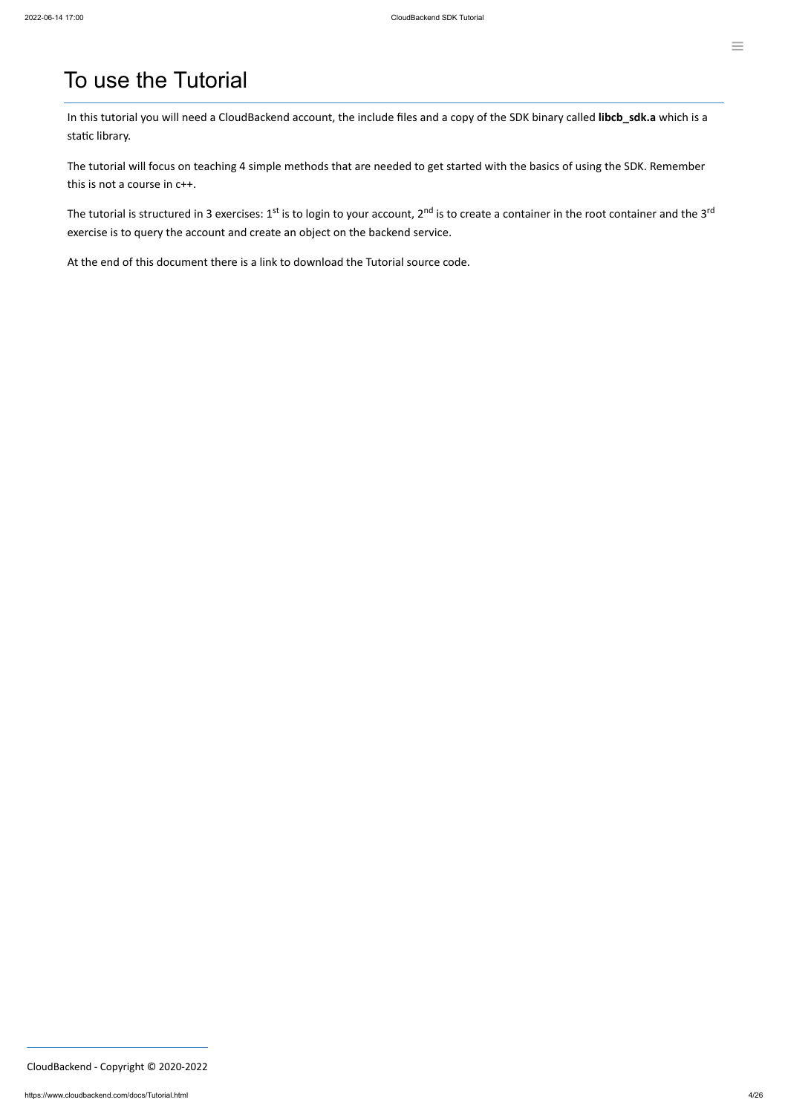## To use the Tutorial

In this tutorial you will need a CloudBackend account, the include files and a copy of the SDK binary called **libcb\_sdk.a** which is a static library.

The tutorial is structured in 3 exercises: 1<sup>st</sup> is to login to your account, 2<sup>nd</sup> is to create a container in the root container and the 3<sup>rd</sup> exercise is to query the account and create an object on the backend service.

The tutorial will focus on teaching 4 simple methods that are needed to get started with the basics of using the SDK. Remember this is not a course in c++.

At the end of this document there is a link to download the Tutorial source code.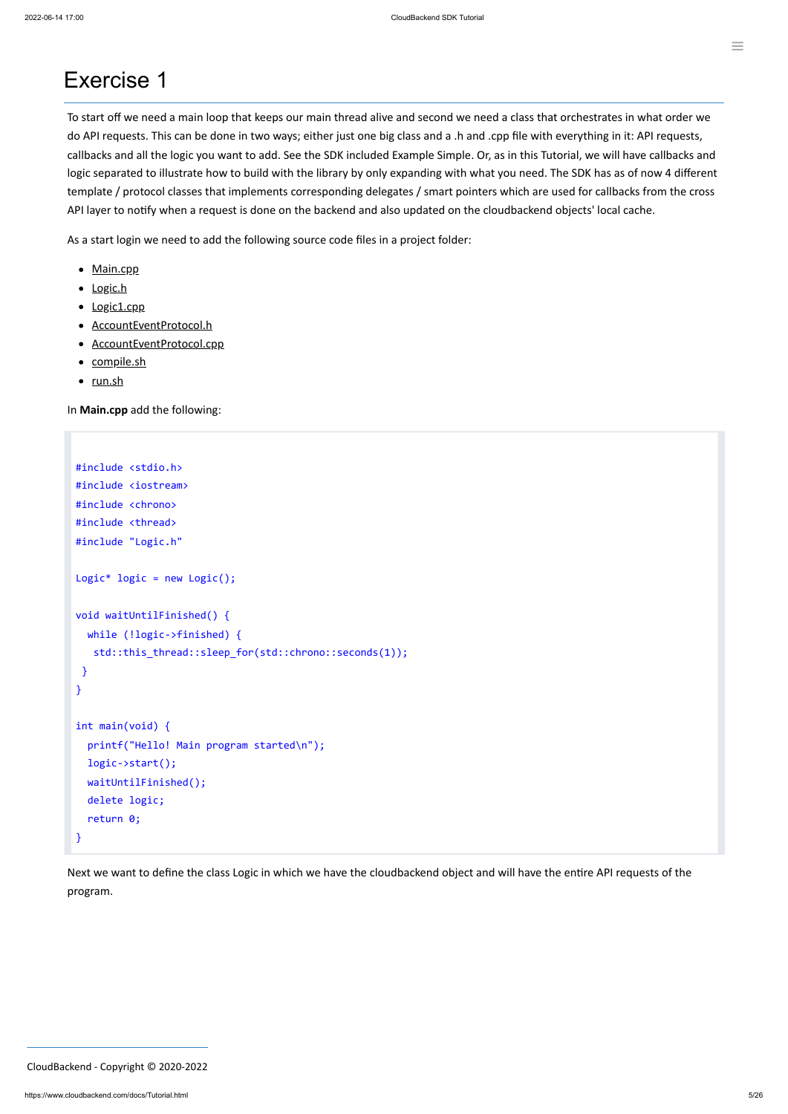## Exercise 1

To start off we need a main loop that keeps our main thread alive and second we need a class that orchestrates in what order we do API requests. This can be done in two ways; either just one big class and a .h and .cpp file with everything in it: API requests, callbacks and all the logic you want to add. See the SDK included Example Simple. Or, as in this Tutorial, we will have callbacks and logic separated to illustrate how to build with the library by only expanding with what you need. The SDK has as of now 4 different template / protocol classes that implements corresponding delegates / smart pointers which are used for callbacks from the cross API layer to notify when a request is done on the backend and also updated on the cloudbackend objects' local cache.

As a start login we need to add the following source code files in a project folder:

- [Main.cpp](#page-4-0)
- Logic.h
- [Logic1.cpp](#page-6-0)
- [AccountEventProtocol.h](#page-12-0)
- [AccountEventProtocol.cpp](#page-12-1)
- [compile.sh](#page-23-0)
- [run.sh](#page-25-0)

<span id="page-4-0"></span>In **Main.cpp** add the following:

```
#include <stdio.h>
#include <iostream>
#include <chrono>
#include <thread>
#include "Logic.h"
Logic* logic = new Logic();
void waitUntilFinished() {
  while (!logic->finished) {
   std::this_thread::sleep_for(std::chrono::seconds(1));
 }
}
int main(void) {
  printf("Hello! Main program started\n");
  logic->start();
  waitUntilFinished();
  delete logic;
  return 0;
```
Next we want to define the class Logic in which we have the cloudbackend object and will have the entire API requests of the

program.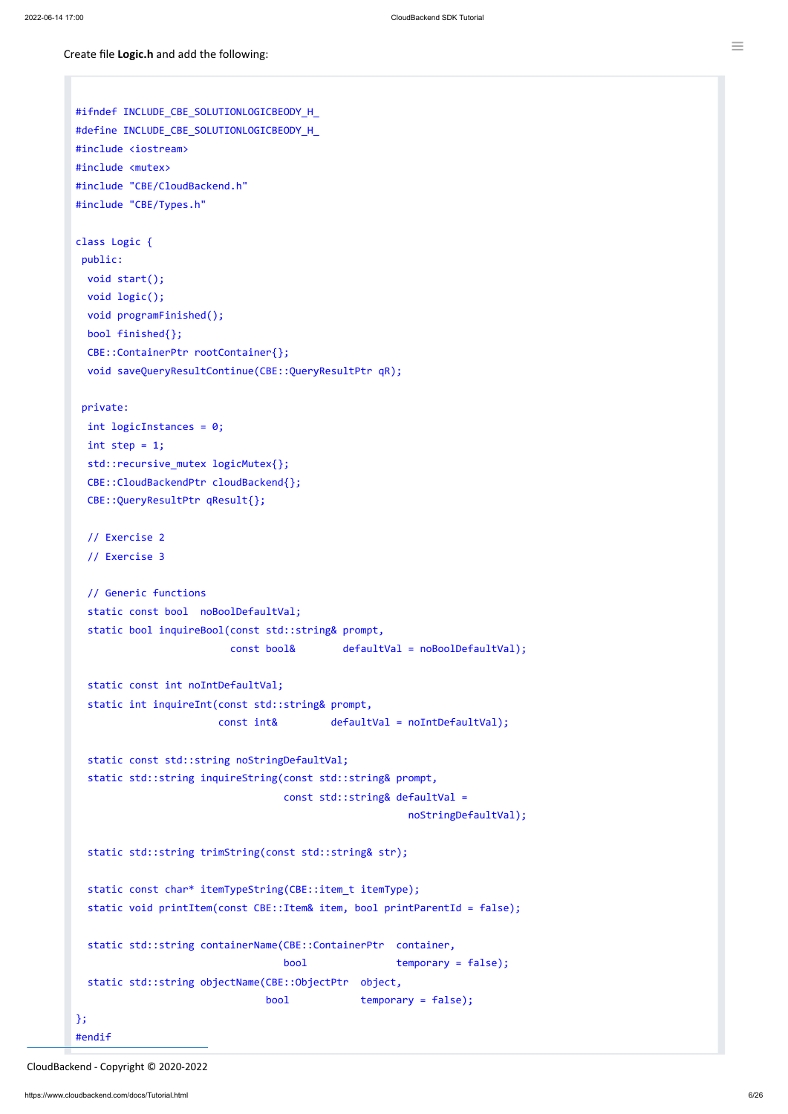Create file **Logic.h** and add the following:

```
#ifndef INCLUDE_CBE_SOLUTIONLOGICBEODY_H_
#define INCLUDE_CBE_SOLUTIONLOGICBEODY_H_
#include <iostream>
#include <mutex>
#include "CBE/CloudBackend.h"
#include "CBE/Types.h"
class Logic {
 public:
  void start();
  void logic();
  void programFinished();
  bool finished{};
  CBE::ContainerPtr rootContainer{};
  void saveQueryResultContinue(CBE::QueryResultPtr qR);
 private:
  int logicInstances = 0;
  int step = 1;
  std::recursive_mutex logicMutex{};
  CBE::CloudBackendPtr cloudBackend{};
  CBE::QueryResultPtr qResult{};
  // Exercise 2
  // Exercise 3
  // Generic functions
  static const bool noBoolDefaultVal;
  static bool inquireBool(const std::string& prompt,
                          const bool& defaultVal = noBoolDefaultVal);
  static const int noIntDefaultVal;
  static int inquireInt(const std::string& prompt,
                        const int& defaultVal = noIntDefaultVal);
  static const std:: string noStringDefaultVal;
  static std::string inquireString(const std::string& prompt,
                                   const std::string& defaultVal =
                                                        noStringDefaultVal);
```

```
static std::string trimString(const std::string& str);
```

```
static const char* itemTypeString(CBE::item_t itemType);
 static void printItem(const CBE::Item& item, bool printParentId = false);
 static std::string containerName(CBE::ContainerPtr container,
                                bool temporary = false);
 static std::string objectName(CBE::ObjectPtr object,
                             bool temporary = false);
};
#endif
```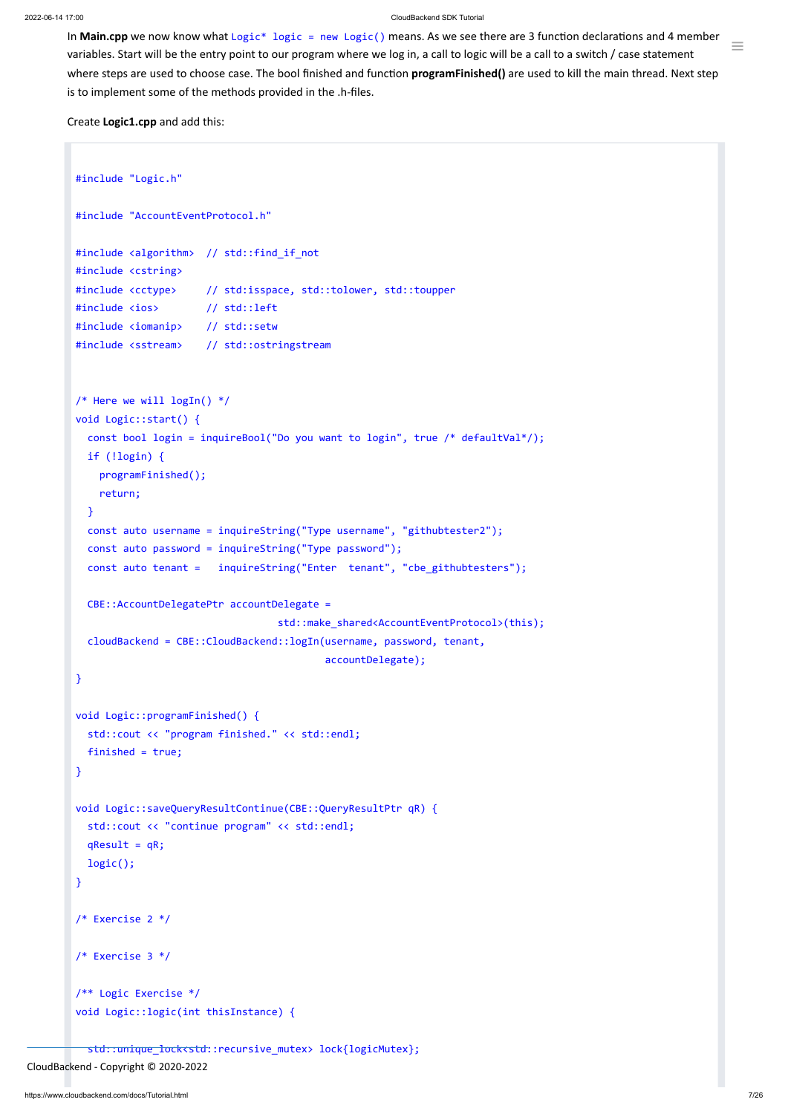#### 2022-06-14 17:00 CloudBackend SDK Tutorial

Ξ

In Main.cpp we now know what Logic<sup>\*</sup> logic = new Logic() means. As we see there are 3 function declarations and 4 member variables. Start will be the entry point to our program where we log in, a call to logic will be a call to a switch / case statement where steps are used to choose case. The bool finished and function **programFinished()** are used to kill the main thread. Next step is to implement some of the methods provided in the .h-files.

<span id="page-6-0"></span>Create **Logic1.cpp** and add this:

```
qResult = qR;
 logic();
}
/* Exercise 2 */
/* Exercise 3 */
/** Logic Exercise */
void Logic::logic(int thisInstance) {
```

```
#include "Logic.h"
#include "AccountEventProtocol.h"
#include <algorithm> // std::find_if_not
#include <cstring>
#include <cctype> // std:isspace, std::tolower, std::toupper
#include <ios> // std::left
#include <iomanip> // std::setw
#include <sstream> // std::ostringstream
/* Here we will \log In() */
void Logic::start() {
  const bool login = inquireBool("Do you want to login", true /* defaultVal*/);
  if (!login) {
   programFinished();
   return;
  }
  const auto username = inquireString("Type username", "githubtester2");
  const auto password = inquireString("Type password");
  const auto tenant = inquireString("Enter tenant", "cbe_githubtesters");
  CBE::AccountDelegatePtr accountDelegate =
                                  std::make_shared<AccountEventProtocol>(this);
  cloudBackend = CBE::CloudBackend::logIn(username, password, tenant,
                                         accountDelegate);
}
void Logic::programFinished() {
  std::cout << "program finished." << std::endl;
  finished = true;
}
void Logic::saveQueryResultContinue(CBE::QueryResultPtr qR) {
  std::cout << "continue program" << std::endl;
```
std::unique\_lock<std::recursive\_mutex> lock{logicMutex};

```
CloudBackend - Copyright © 2020-2022
```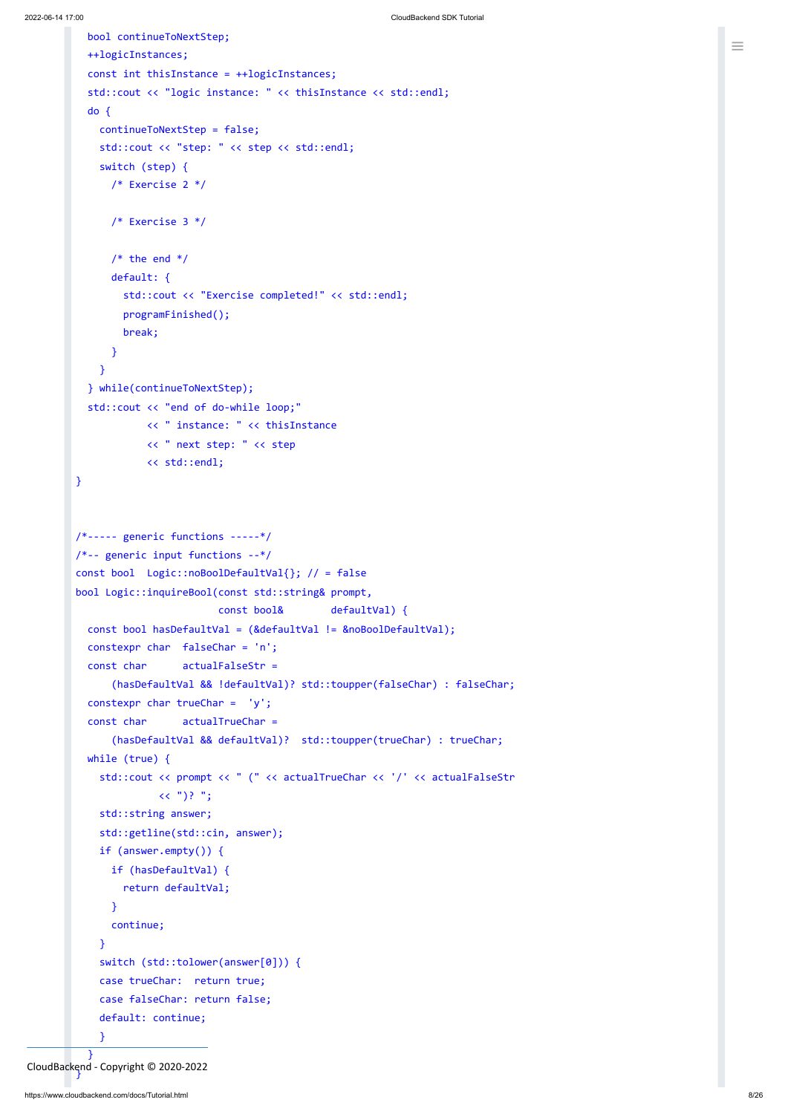```
bool continueToNextStep;
  ++logicInstances;
  const int thisInstance = ++logicInstances;
  std::cout << "logic instance: " << thisInstance << std::endl;
  do {
    continueToNextStep = false;
    std::cout << "step: " << step << std::endl;
    switch (step) {
      /* Exercise 2 */
      /* Exercise 3 */
      /* the end */default: {
        std::cout << "Exercise completed!" << std::endl;
       programFinished();
       break;
      }
    }
  } while(continueToNextStep);
  std::cout << "end of do-while loop;"
            << " instance: " << thisInstance
            << " next step: " << step
            << std::endl;
}
/*--- generic functions ---*//*-- generic input functions --*/
const bool Logic::noBoolDefaultVal{}; // = false
bool Logic::inquireBool(const std::string& prompt,
                        const bool& defaultVal) {
  const bool hasDefaultVal = (&defaultVal != &noBoolDefaultVal);
  constexpr char falseChar = 'n';
  const char actualFalseStr =
      (hasDefaultVal && !defaultVal)? std::toupper(falseChar) : falseChar;
  constexpr char trueChar = 'y';
  const char actualTrueChar =
      (hasDefaultVal && defaultVal)? std::toupper(trueChar) : trueChar;
  while (true) {
    std::cout << prompt << " (" << actualTrueChar << '/' << actualFalseStr
              \langle \langle ")? ";
    std::string answer;
    std::getline(std::cin, answer);
```

```
if (answer.empty()) {
              if (hasDefaultVal) {
                 return defaultVal;
              }
              continue;
            }
            switch (std::tolower(answer[0])) {
            case trueChar: return true;
            case falseChar: return false;
            default: continue;
            }
          }
}
CloudBackend - Copyright © 2020-2022
```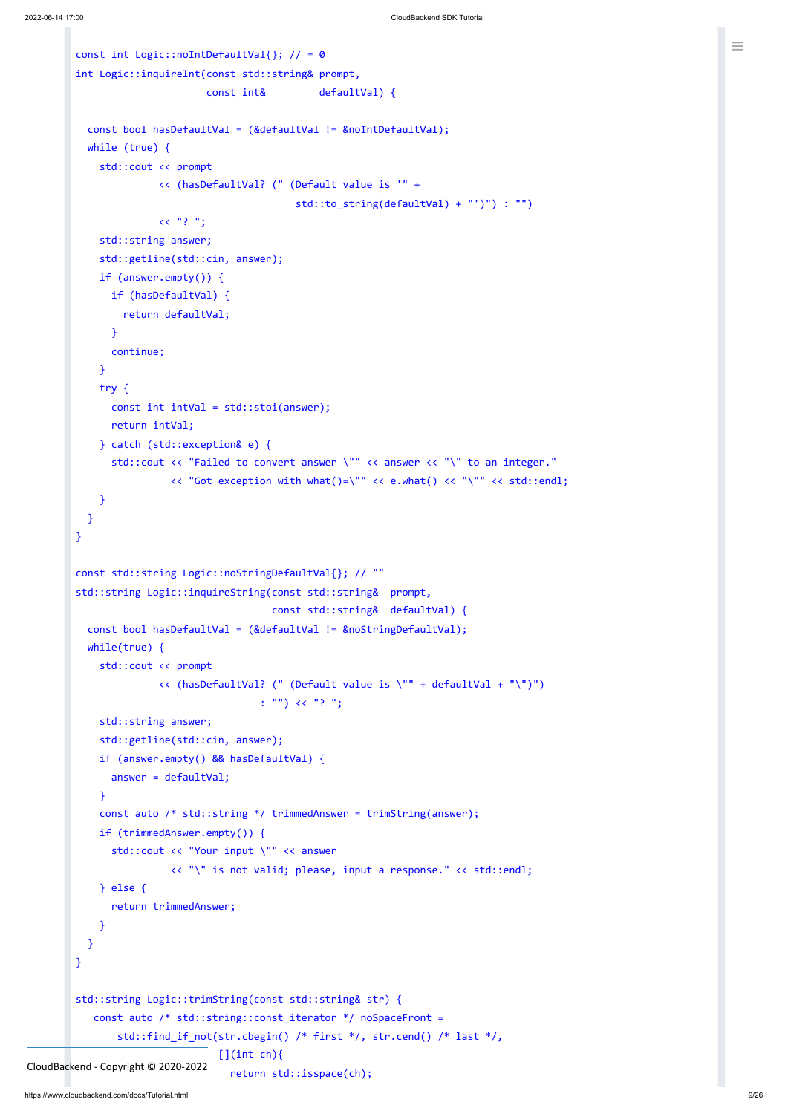```
const int Logic::noIntDefaultVal{}; // = 0
int Logic::inquireInt(const std::string& prompt,
                      const int& defaultVal) {
  const bool hasDefaultVal = (&defaultVal != &noIntDefaultVal);
  while (true) {
   std::cout << prompt
              << (hasDefaultVal? (" (Default value is '" +
                                     std::to string(defaultVal) + "')") : "")
              << "? ";
    std::string answer;
    std::getline(std::cin, answer);
   if (answer.empty()) {
     if (hasDefaultVal) {
        return defaultVal;
     }
      continue;
   }
   try {
      const int intVal = std::stoi(answer);
     return intVal;
   } catch (std::exception& e) {
      std::cout << "Failed to convert answer \"" << answer << "\" to an integer."
                << "Got exception with what()=\"" << e.what() << "\"" << std::endl;
    }
 }
}
const std::string Logic::noStringDefaultVal{}; // ""
std::string Logic::inquireString(const std::string& prompt,
                                 const std::string& defaultVal) {
  const bool hasDefaultVal = (&defaultVal != &noStringDefaultVal);
 while(true) {
    std::cout << prompt
              << (hasDefaultVal? (" (Default value is \"" + defaultVal + "\")")
                               : "") << "? ";
   std::string answer;
   std::getline(std::cin, answer);
   if (answer.empty() && hasDefaultVal) {
      answer = defaultVal;
   }
    const auto /* std::string */ trimmedAnswer = trimString(answer);
    if (trimmedAnswer.empty()) {
```

```
std::cout << "Your input \"" << answer
                        << "\" is not valid; please, input a response." << std::endl;
            } else {
              return trimmedAnswer;
            }
          }
        }
        std::string Logic::trimString(const std::string& str) {
           const auto /* std::string::const_iterator */ noSpaceFront =
               std::find_if_not(str.cbegin() /* first */, str.cend() /* last */,
                                 [](int ch)[return std::isspace(ch);
CloudBackend - Copyright © 2020-2022
```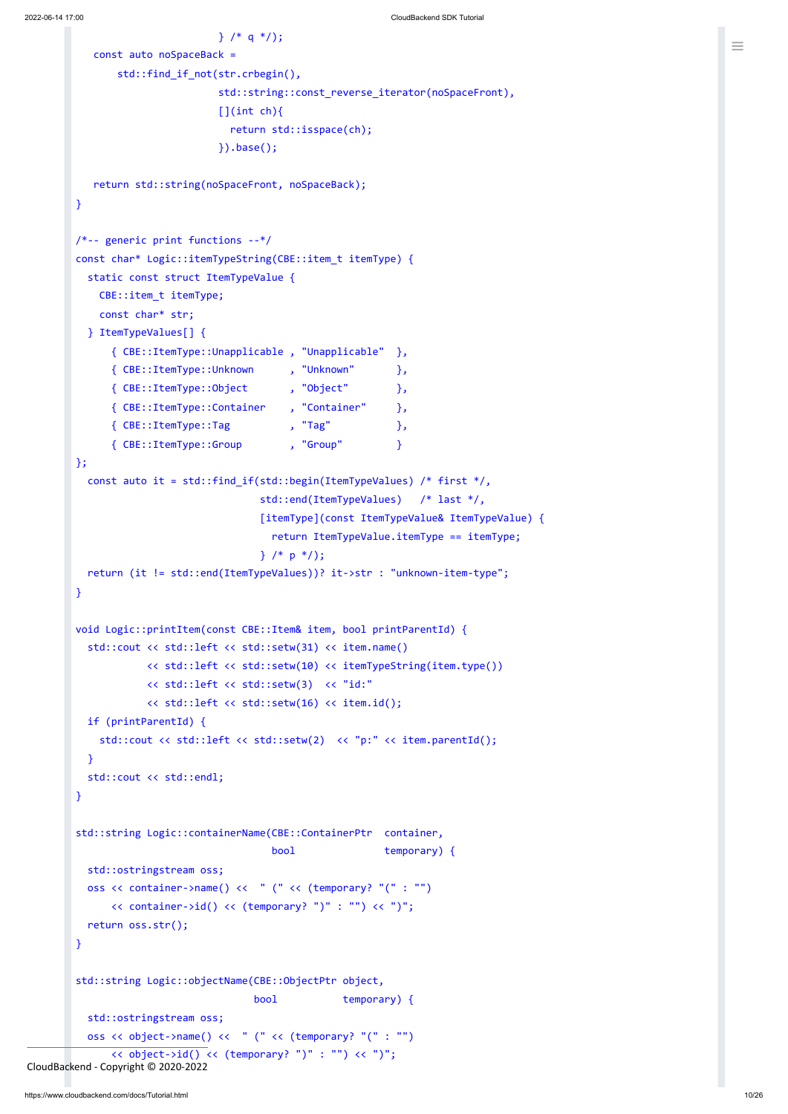```
} /* q * );
   const auto noSpaceBack =
       std::find_if_not(str.crbegin(),
                       std::string::const_reverse_iterator(noSpaceFront),
                       [](int ch)[return std::isspace(ch);
                       }).base();
   return std::string(noSpaceFront, noSpaceBack);
}
/*-- generic print functions --*/
const char* Logic::itemTypeString(CBE::item_t itemType) {
  static const struct ItemTypeValue {
   CBE::item_t itemType;
   const char* str;
  } ItemTypeValues[] {
     { CBE::ItemType::Unapplicable , "Unapplicable" },
     { CBE::ItemType::Unknown , "Unknown" },
     { CBE::ItemType::Object , "Object" },
     { CBE::ItemType::Container , "Container" },
     { CBE::ItemType::Tag , "Tag" },
     { CBE::ItemType::Group , "Group" }
};
  const auto it = std::find_if(std::begin(ItemTypeValues) /* first */,
                              std::end(ItemTypeValues) /* last */,
                              [itemType](const ItemTypeValue& ItemTypeValue) {
                               return ItemTypeValue.itemType == itemType;
                              } /* p */);
  return (it != std::end(ItemTypeValues))? it->str : "unknown-item-type";
}
void Logic::printItem(const CBE::Item& item, bool printParentId) {
  std::cout << std::left << std::setw(31) << item.name()
           << std::left << std::setw(10) << itemTypeString(item.type())
           << std::left << std::setw(3) << "id:"
           << std::left << std::setw(16) << item.id();
  if (printParentId) {
    std::cout << std::left << std::setw(2) << "p:" << item.parentId();
  }
  std::cout << std::endl;
}
```
#### bool temporary) {

std::string Logic::containerName(CBE::ContainerPtr container,

```
std::ostringstream oss;
          oss << container->name() << " (" << (temporary? "(" : "")
              << container->id() << (temporary? ")" : "") << ")";
          return oss.str();
        }
        std::string Logic::objectName(CBE::ObjectPtr object,
                                      bool temporary) {
          std::ostringstream oss;
          oss << object->name() << " (" << (temporary? "(" : "")
              << object->id() << (temporary? ")" : "") << ")";
CloudBackend - Copyright © 2020-2022
```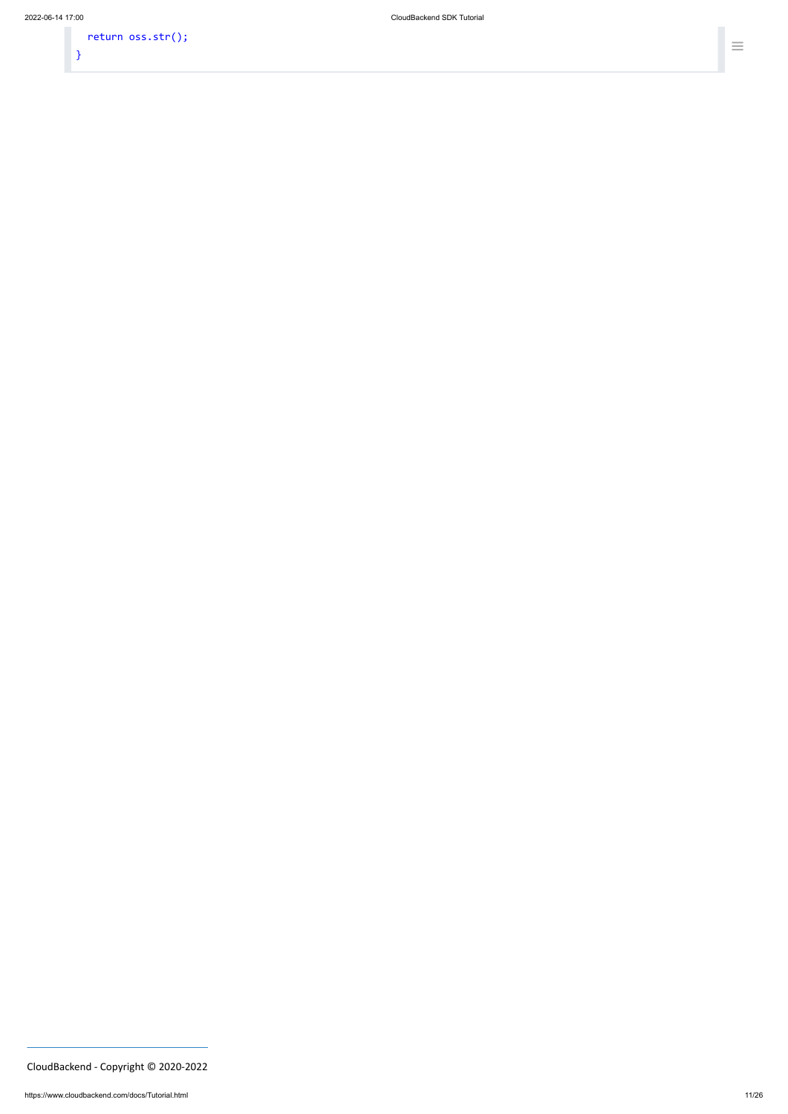return oss.str(); }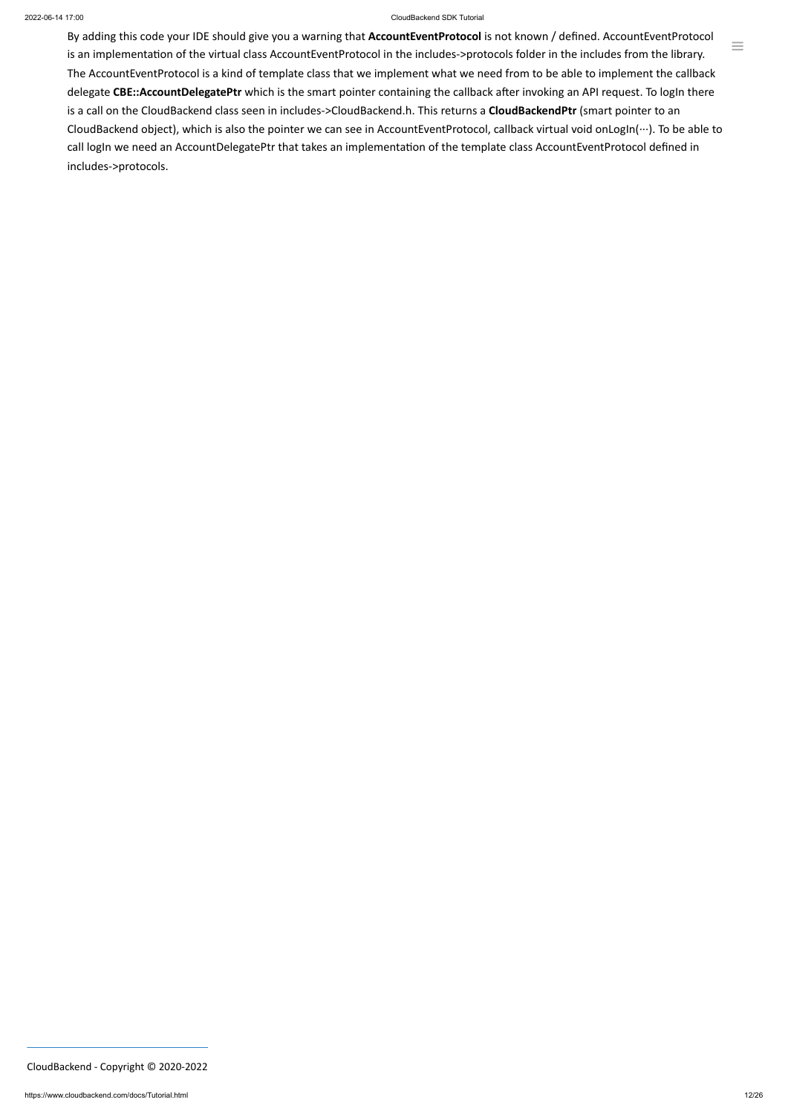#### 2022-06-14 17:00 CloudBackend SDK Tutorial

 $\equiv$ 

By adding this code your IDE should give you a warning that **AccountEventProtocol** is not known / defined. AccountEventProtocol is an implementation of the virtual class AccountEventProtocol in the includes->protocols folder in the includes from the library. The AccountEventProtocol is a kind of template class that we implement what we need from to be able to implement the callback delegate CBE::AccountDelegatePtr which is the smart pointer containing the callback after invoking an API request. To logIn there is a call on the CloudBackend class seen in includes->CloudBackend.h. This returns a **CloudBackendPtr** (smart pointer to an CloudBackend object), which is also the pointer we can see in AccountEventProtocol, callback virtual void onLogIn(…). To be able to call logIn we need an AccountDelegatePtr that takes an implementation of the template class AccountEventProtocol defined in includes->protocols.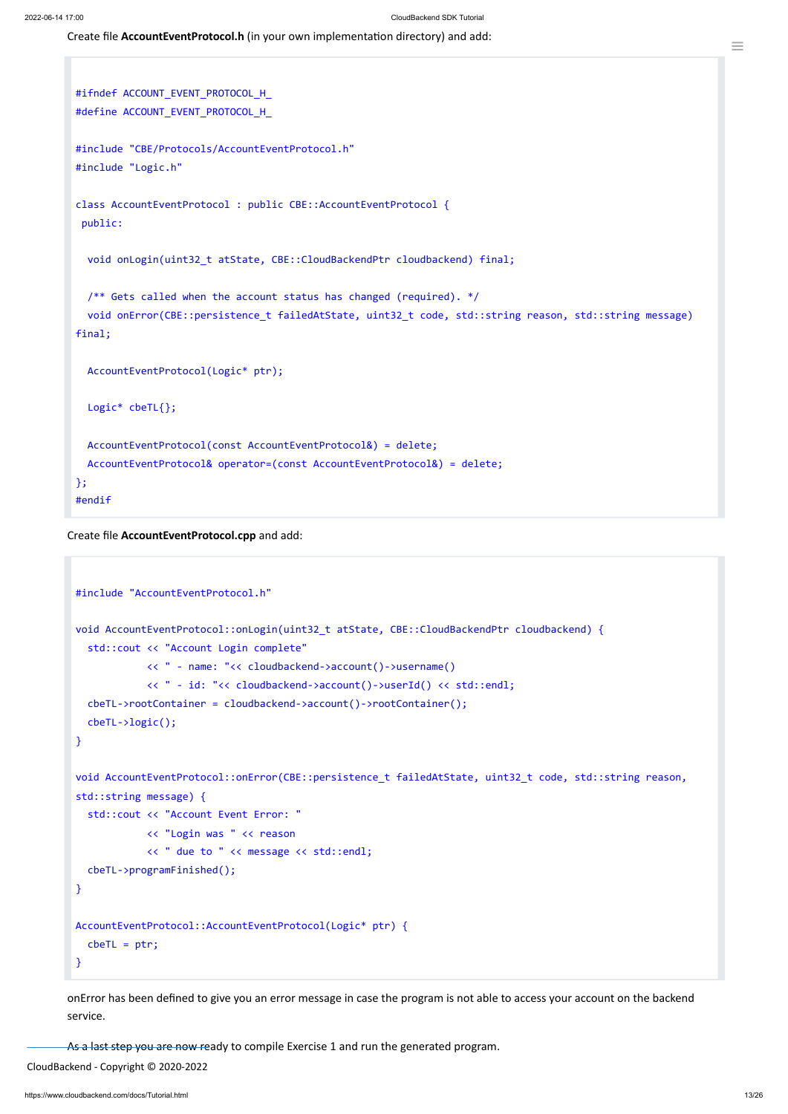<span id="page-12-0"></span>Create file **AccountEventProtocol.h** (in your own implementation directory) and add:

```
#ifndef ACCOUNT_EVENT_PROTOCOL_H_
#define ACCOUNT_EVENT_PROTOCOL_H_
#include "CBE/Protocols/AccountEventProtocol.h"
#include "Logic.h"
class AccountEventProtocol : public CBE::AccountEventProtocol {
 public:
  void onLogin(uint32 t atState, CBE::CloudBackendPtr cloudbackend) final;
  /** Gets called when the account status has changed (required). */
  void onError(CBE::persistence_t failedAtState, uint32_t code, std::string reason, std::string message)
final;
  AccountEventProtocol(Logic* ptr);
  Logic* cbeTL{};
  AccountEventProtocol(const AccountEventProtocol&) = delete;
  AccountEventProtocol& operator=(const AccountEventProtocol&) = delete;
};
#endif
```
<span id="page-12-1"></span>Create file **AccountEventProtocol.cpp** and add:

```
#include "AccountEventProtocol.h"
void AccountEventProtocol::onLogin(uint32_t atState, CBE::CloudBackendPtr cloudbackend) {
  std::cout << "Account Login complete"
            << " - name: "<< cloudbackend->account()->username()
            << " - id: "<< cloudbackend->account()->userId() << std::endl;
  cbeTL->rootContainer = cloudbackend->account()->rootContainer();
  cbeTL->logic();
}
void AccountEventProtocol::onError(CBE::persistence_t failedAtState, uint32_t code, std::string reason,
std::string message) {
  std::cout << "Account Event Error: "
```

```
<< " due to " << message << std::endl;
  cbeTL->programFinished();
}
AccountEventProtocol::AccountEventProtocol(Logic* ptr) {
  cbeTL = ptr;}
```
onError has been defined to give you an error message in case the program is not able to access your account on the backend service.

As a last step you are now ready to compile Exercise 1 and run the generated program.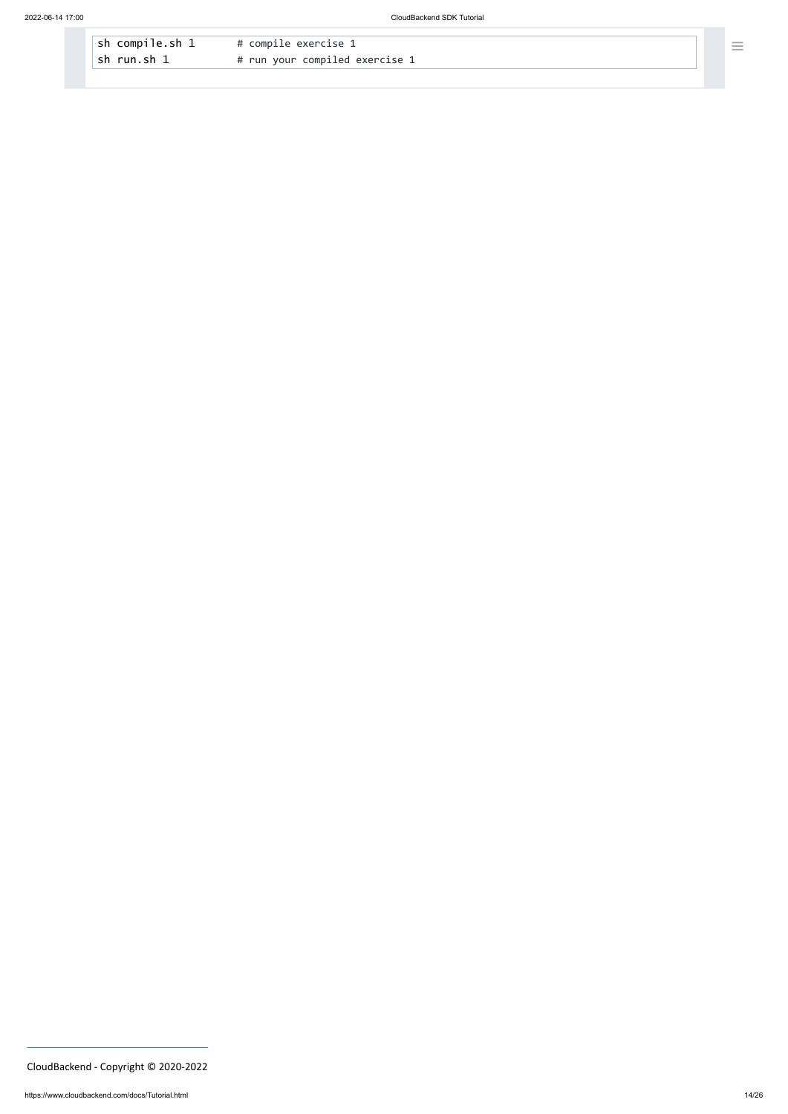| $\vert$ sh compile.sh 1 | # compile exercise 1           |
|-------------------------|--------------------------------|
| $\vert$ sh run.sh 1     | # run your compiled exercise 1 |

CloudBackend - Copyright © 2020-2022

 $\equiv$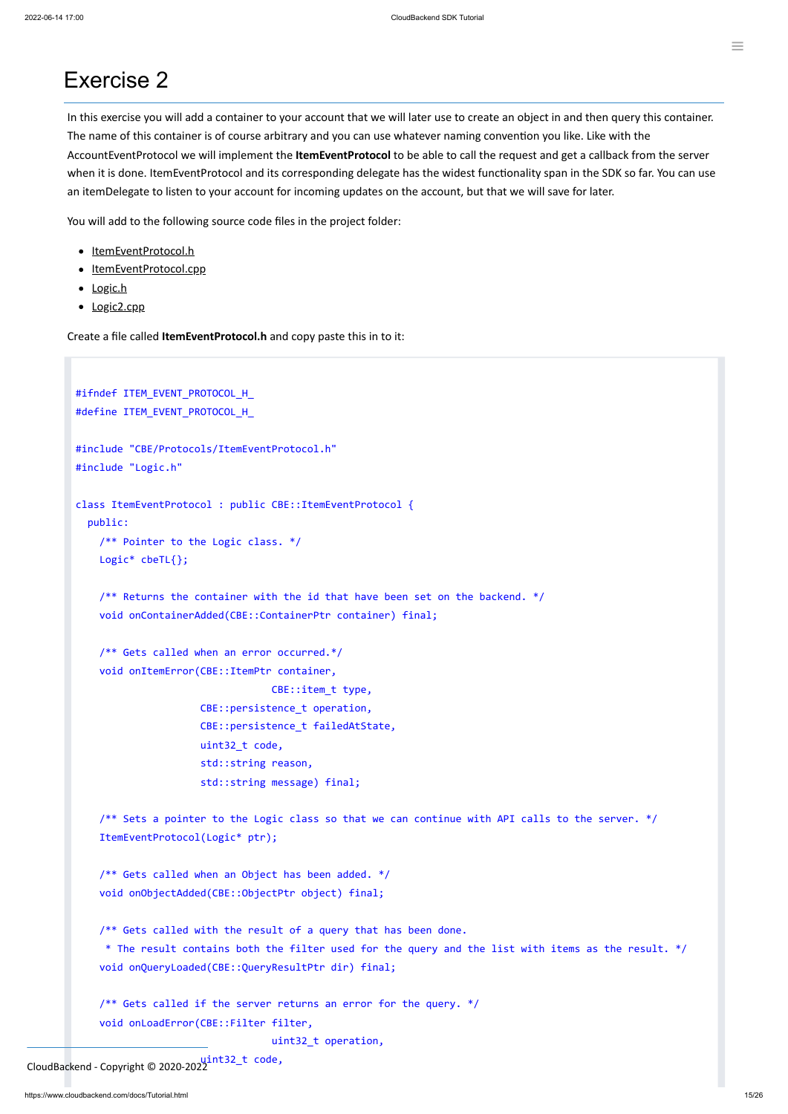## Exercise 2

In this exercise you will add a container to your account that we will later use to create an object in and then query this container. The name of this container is of course arbitrary and you can use whatever naming convention you like. Like with the AccountEventProtocol we will implement the **ItemEventProtocol** to be able to call the request and get a callback from the server when it is done. ItemEventProtocol and its corresponding delegate has the widest functionality span in the SDK so far. You can use an itemDelegate to listen to your account for incoming updates on the account, but that we will save for later.

You will add to the following source code files in the project folder:

- [ItemEventProtocol.h](#page-14-0)
- [ItemEventProtocol.cpp](#page-16-0)
- [Logic.h](#page-17-0)
- [Logic2.cpp](#page-17-1)

<span id="page-14-0"></span>Create a file called **ItemEventProtocol.h** and copy paste this in to it:

```
#ifndef ITEM_EVENT_PROTOCOL_H_
#define ITEM_EVENT_PROTOCOL_H_
#include "CBE/Protocols/ItemEventProtocol.h"
#include "Logic.h"
class ItemEventProtocol : public CBE::ItemEventProtocol {
  public:
   /** Pointer to the Logic class. */
    Logic* cbeTL{};
    /** Returns the container with the id that have been set on the backend. */
    void onContainerAdded(CBE::ContainerPtr container) final;
    /** Gets called when an error occurred.*/
    void onItemError(CBE::ItemPtr container,
                                 CBE::item_t type,
                     CBE::persistence_t operation,
                     CBE::persistence_t failedAtState,
                     uint32_t code,
                     std::string reason,
                     std::string message) final;
```
/\*\* Sets a pointer to the Logic class so that we can continue with API calls to the server. \*/ ItemEventProtocol(Logic\* ptr);

```
/** Gets called when an Object has been added. */
void onObjectAdded(CBE::ObjectPtr object) final;
```
/\*\* Gets called with the result of a query that has been done. \* The result contains both the filter used for the query and the list with items as the result. \*/ void onQueryLoaded(CBE::QueryResultPtr dir) final;

/\*\* Gets called if the server returns an error for the query. \*/ void onLoadError(CBE::Filter filter,

uint32\_t operation,

CloudBackend - Copyright © 2020-2022<br>CloudBackend - Copyright © 2020-2022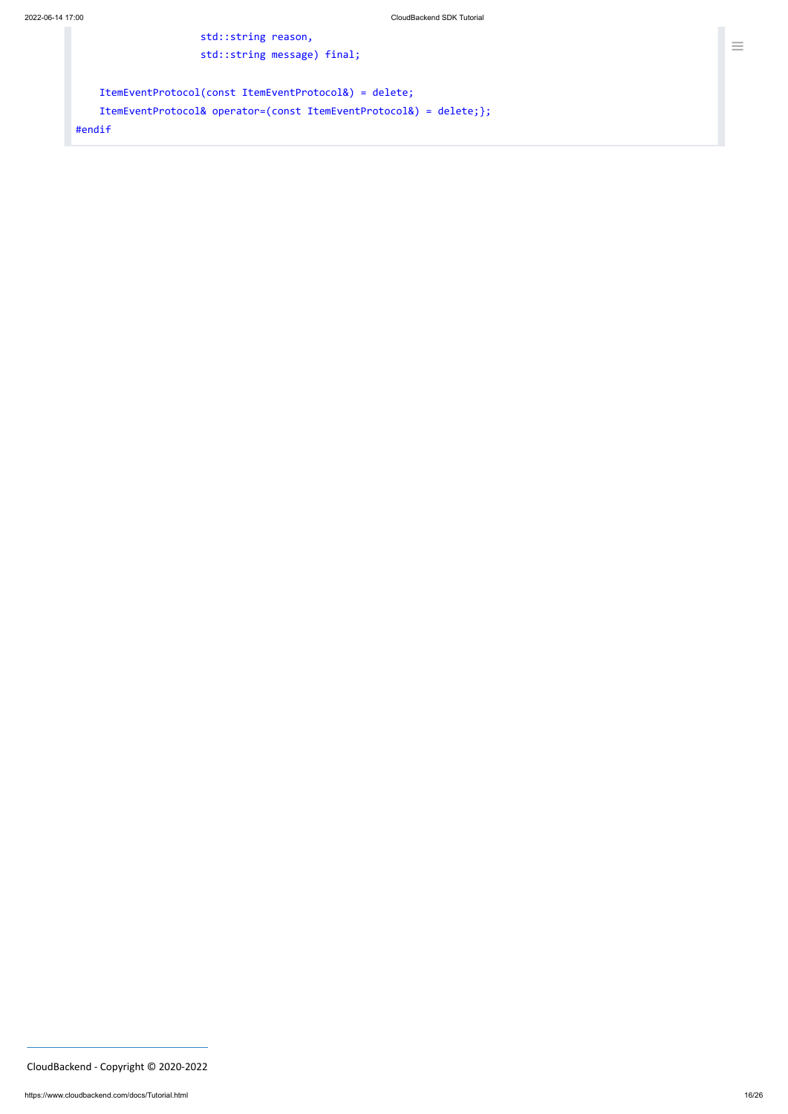```
std::string reason,
                     std::string message) final;
   ItemEventProtocol(const ItemEventProtocol&) = delete;
   ItemEventProtocol& operator=(const ItemEventProtocol&) = delete;};
#endif
```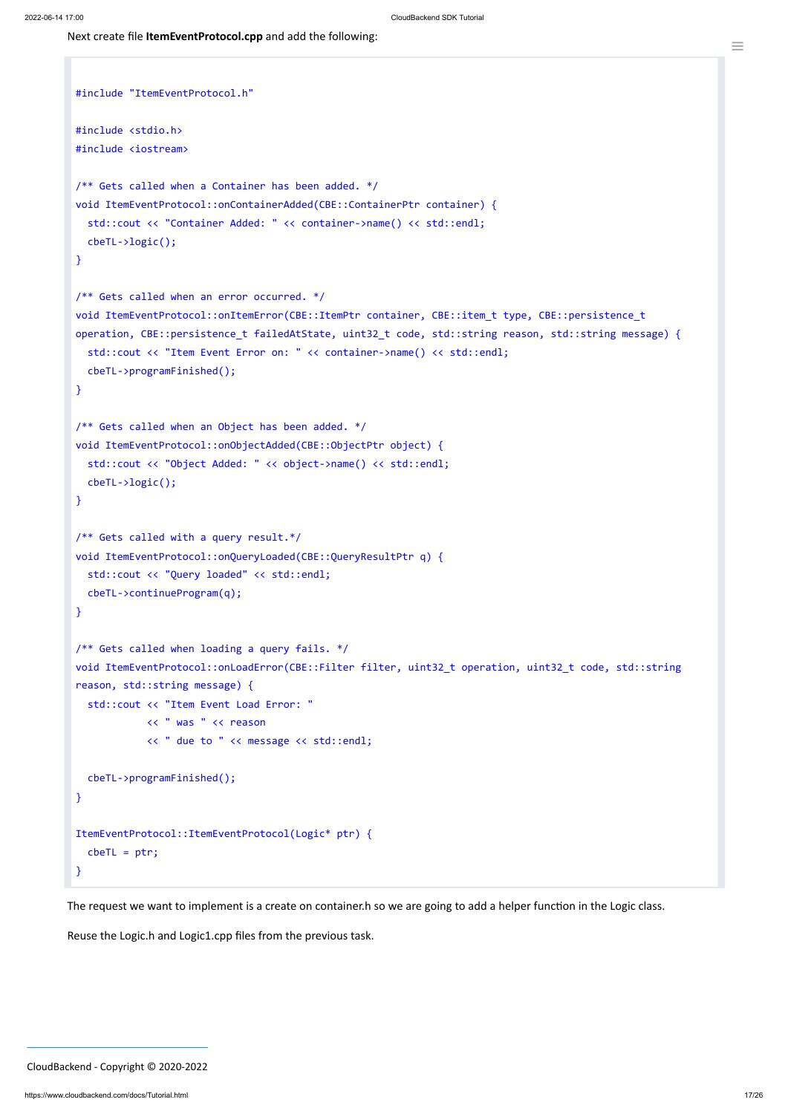```
≡
```

```
#include "ItemEventProtocol.h"
#include <stdio.h>
#include <iostream>
/** Gets called when a Container has been added. */
void ItemEventProtocol::onContainerAdded(CBE::ContainerPtr container) {
  std::cout << "Container Added: " << container->name() << std::endl;
  cbeTL->logic();
}
/** Gets called when an error occurred. */
void ItemEventProtocol::onItemError(CBE::ItemPtr container, CBE::item_t type, CBE::persistence_t
operation, CBE::persistence_t failedAtState, uint32_t code, std::string reason, std::string message) {
  std::cout << "Item Event Error on: " << container->name() << std::endl;
  cbeTL->programFinished();
}
/** Gets called when an Object has been added. */
void ItemEventProtocol::onObjectAdded(CBE::ObjectPtr object) {
  std::cout << "Object Added: " << object->name() << std::endl;
  cbeTL->logic();
}
/** Gets called with a query result.*/
void ItemEventProtocol::onQueryLoaded(CBE::QueryResultPtr q) {
  std::cout << "Query loaded" << std::endl;
  cbeTL->continueProgram(q);
}
/** Gets called when loading a query fails. */
void ItemEventProtocol::onLoadError(CBE::Filter filter, uint32_t operation, uint32_t code, std::string
reason, std::string message) {
  std::cout << "Item Event Load Error: "
            << " was " << reason
            << " due to " << message << std::endl;
  cbeTL->programFinished();
}
ItemEventProtocol::ItemEventProtocol(Logic* ptr) {
```

|               | $cbeTL = ptr;$ |  |
|---------------|----------------|--|
| $\mathcal{F}$ |                |  |

The request we want to implement is a create on container.h so we are going to add a helper function in the Logic class.

Reuse the Logic.h and Logic1.cpp files from the previous task.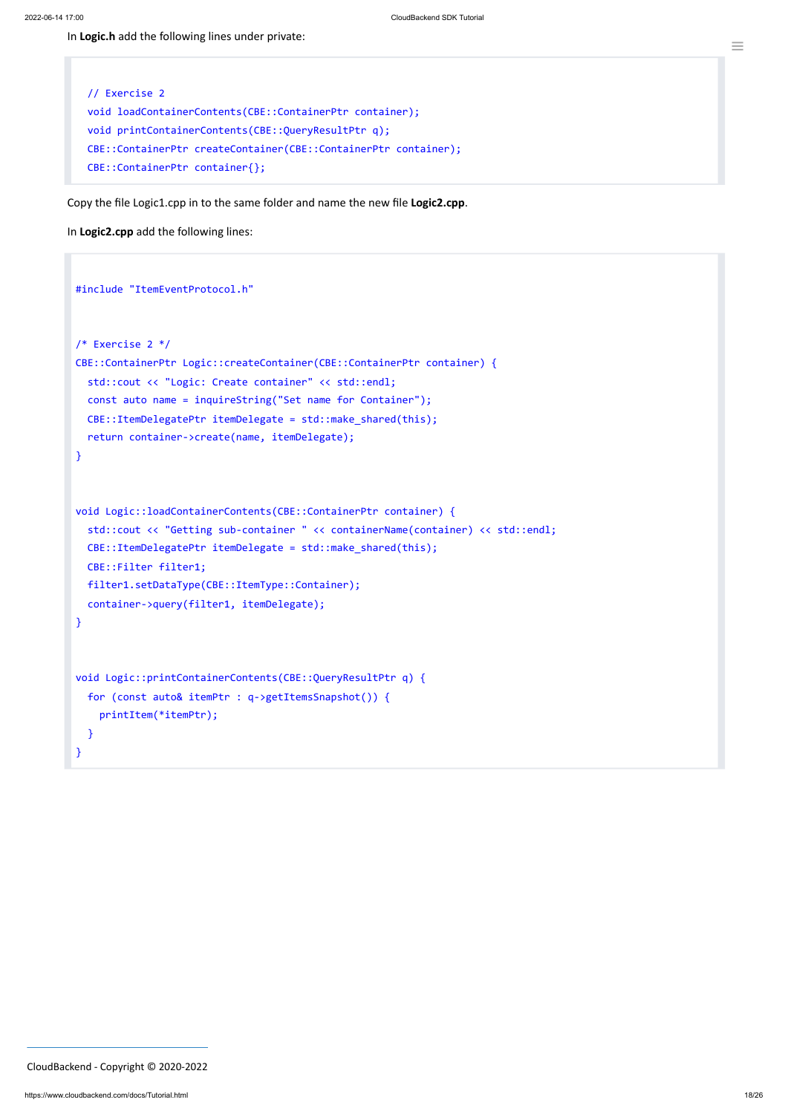<span id="page-17-0"></span>In **Logic.h** add the following lines under private:

```
// Exercise 2
void loadContainerContents(CBE::ContainerPtr container);
void printContainerContents(CBE::QueryResultPtr q);
CBE::ContainerPtr createContainer(CBE::ContainerPtr container);
CBE::ContainerPtr container{};
```
<span id="page-17-1"></span>Copy the file Logic1.cpp in to the same folder and name the new file **Logic2.cpp**.

In **Logic2.cpp** add the following lines:

```
#include "ItemEventProtocol.h"
/* Exercise 2 */
CBE::ContainerPtr Logic::createContainer(CBE::ContainerPtr container) {
  std::cout << "Logic: Create container" << std::endl;
  const auto name = inquireString("Set name for Container");
  CBE::ItemDelegatePtr itemDelegate = std::make_shared(this);
  return container->create(name, itemDelegate);
}
void Logic::loadContainerContents(CBE::ContainerPtr container) {
  std::cout << "Getting sub-container " << containerName(container) << std::endl;
  CBE::ItemDelegatePtr itemDelegate = std::make_shared(this);
  CBE::Filter filter1;
  filter1.setDataType(CBE::ItemType::Container);
  container->query(filter1, itemDelegate);
}
void Logic::printContainerContents(CBE::QueryResultPtr q) {
  for (const auto& itemPtr : q->getItemsSnapshot()) {
    printItem(*itemPtr);
  }
}
```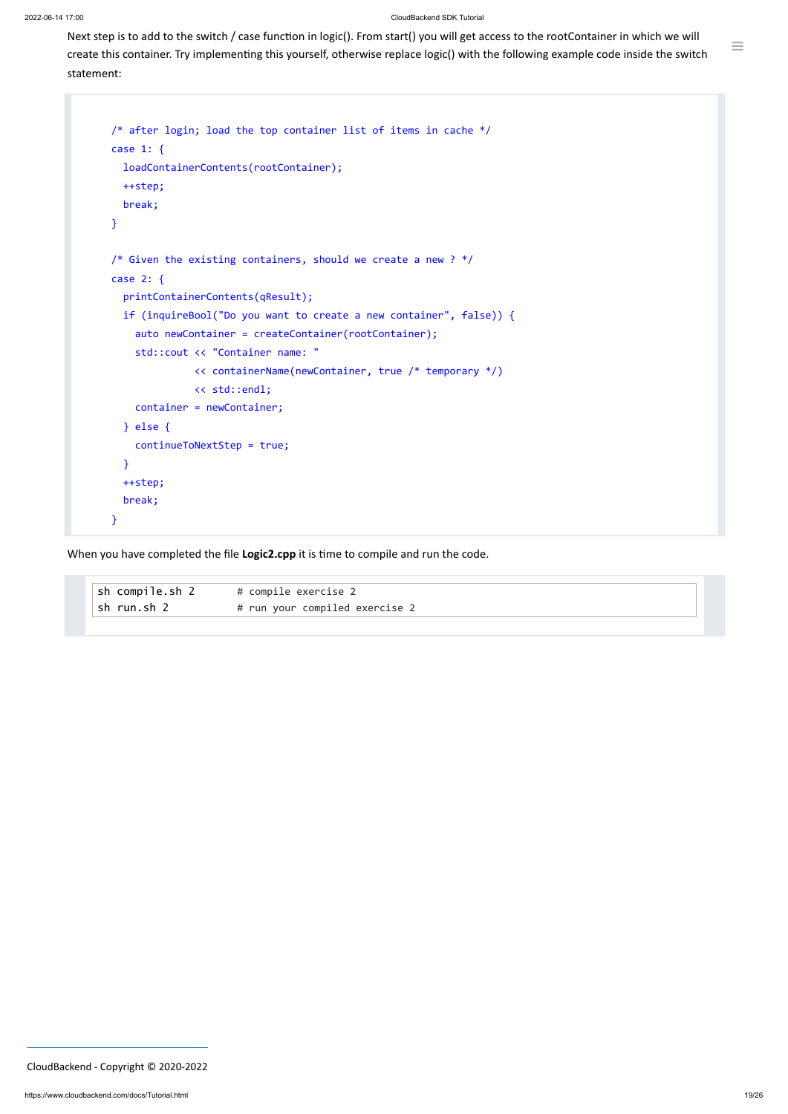Next step is to add to the switch / case function in logic(). From start() you will get access to the rootContainer in which we will create this container. Try implementing this yourself, otherwise replace logic() with the following example code inside the switch statement:

```
/* after login; load the top container list of items in cache */
case 1: {
  loadContainerContents(rootContainer);
 ++step;
 break;
}
/* Given the existing containers, should we create a new ? */
case 2: {
  printContainerContents(qResult);
  if (inquireBool("Do you want to create a new container", false)) {
    auto newContainer = createContainer(rootContainer);
    std::cout << "Container name: "
              << containerName(newContainer, true /* temporary */)
              << std::endl;
    container = newContainer;
  } else {
    continueToNextStep = true;
  }
  ++step;
  break;
}
```
When you have completed the file **Logic2.cpp** it is time to compile and run the code.

| ∣sh run.sh 2 | # run your compiled exercise 2 |
|--------------|--------------------------------|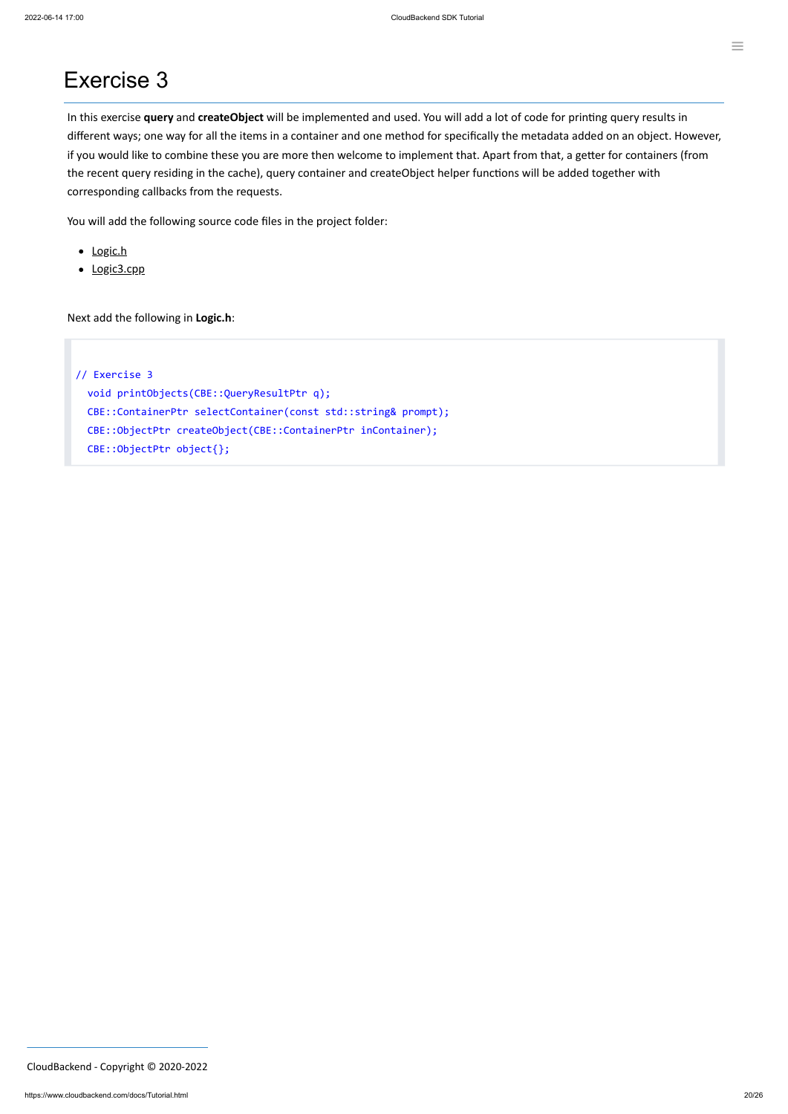## Exercise 3

In this exercise **query** and **createObject** will be implemented and used. You will add a lot of code for printing query results in different ways; one way for all the items in a container and one method for specifically the metadata added on an object. However, if you would like to combine these you are more then welcome to implement that. Apart from that, a getter for containers (from the recent query residing in the cache), query container and createObject helper functions will be added together with corresponding callbacks from the requests.

You will add the following source code files in the project folder:

- [Logic.h](#page-19-0)
- [Logic3.cpp](#page-20-0)

<span id="page-19-0"></span>Next add the following in **Logic.h**:

// Exercise 3 void printObjects(CBE::QueryResultPtr q); CBE::ContainerPtr selectContainer(const std::string& prompt); CBE::ObjectPtr createObject(CBE::ContainerPtr inContainer); CBE::ObjectPtr object{};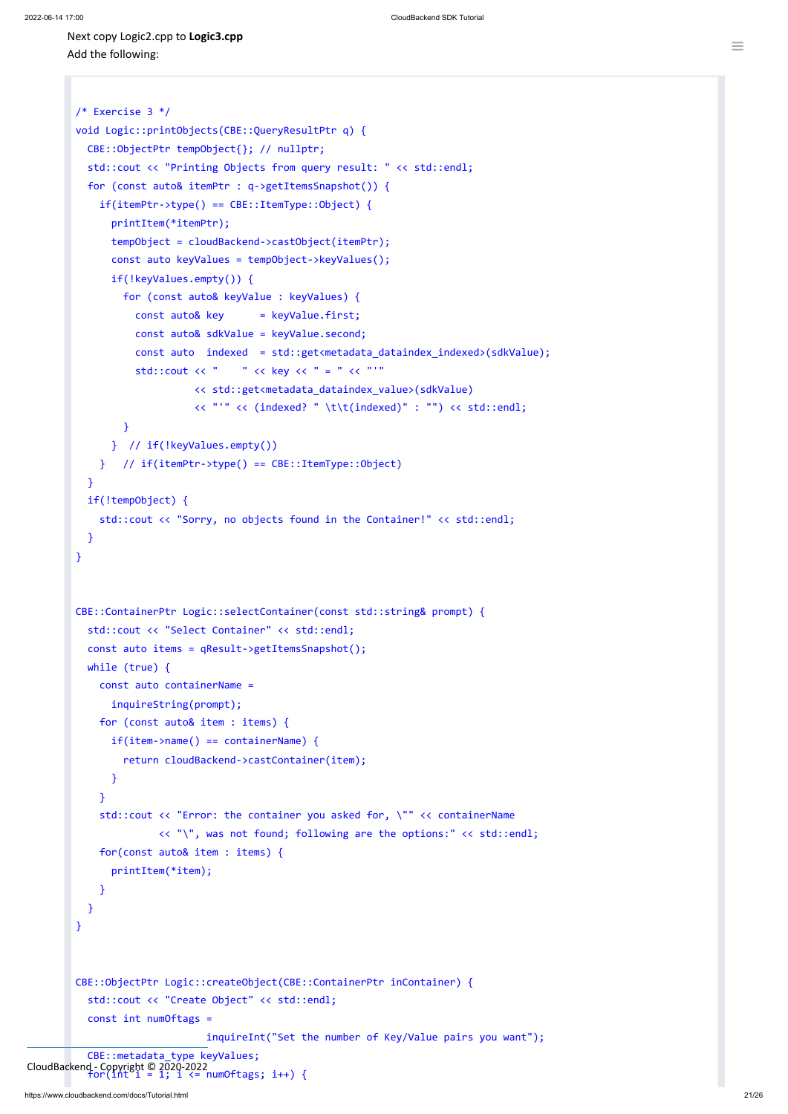<span id="page-20-0"></span>Next copy Logic2.cpp to **Logic3.cpp** Add the following:

```
/* Exercise 3 */
void Logic::printObjects(CBE::QueryResultPtr q) {
  CBE::ObjectPtr tempObject{}; // nullptr;
  std::cout << "Printing Objects from query result: " << std::endl;
  for (const auto& itemPtr : q->getItemsSnapshot()) {
    if(itemPtr->type() == CBE::ItemType::Object) {
      printItem(*itemPtr);
      tempObject = cloudBackend->castObject(itemPtr);
      const auto keyValues = tempObject->keyValues();
      if(!keyValues.empty()) {
        for (const auto& keyValue : keyValues) {
          const auto& key = keyValue.first;
          const auto& sdkValue = keyValue.second;
          const auto indexed = std::get<metadata_dataindex_indexed>(sdkValue);
          std::cout << " " << key << " = " << "'"
                    << std::get<metadata_dataindex_value>(sdkValue)
                    << "'" << (indexed? " \t\t(indexed)" : "") << std::endl;
        }
      } // if(!keyValues.empty())
    } // if(itemPtr->type() == CBE::ItemType::Object)
  }
  if(!tempObject) {
    std::cout << "Sorry, no objects found in the Container!" << std::endl;
  }
}
CBE::ContainerPtr Logic::selectContainer(const std::string& prompt) {
  std::cout << "Select Container" << std::endl;
  const auto items = qResult->getItemsSnapshot();
  while (true) {
    const auto containerName =
      inquireString(prompt);
    for (const auto& item : items) {
      if(item->name() == containerName)return cloudBackend->castContainer(item);
      }
    }
    std::cout << "Error: the container you asked for, \"" << containerName
              << "\", was not found; following are the options:" << std::endl;
    for(const auto& item : items) {
      printItem(*item);
    }
  }
}
CBE::ObjectPtr Logic::createObject(CBE::ContainerPtr inContainer) {
  std::cout << "Create Object" << std::endl;
  const int numOftags =
                      inquireInt("Set the number of Key/Value pairs you want");
  CBE::metadata_type keyValues;
```
 $C$ loudBackend - Copyright © 2020-2022<br>
for(int i = 1; i <= numOftags; i++) {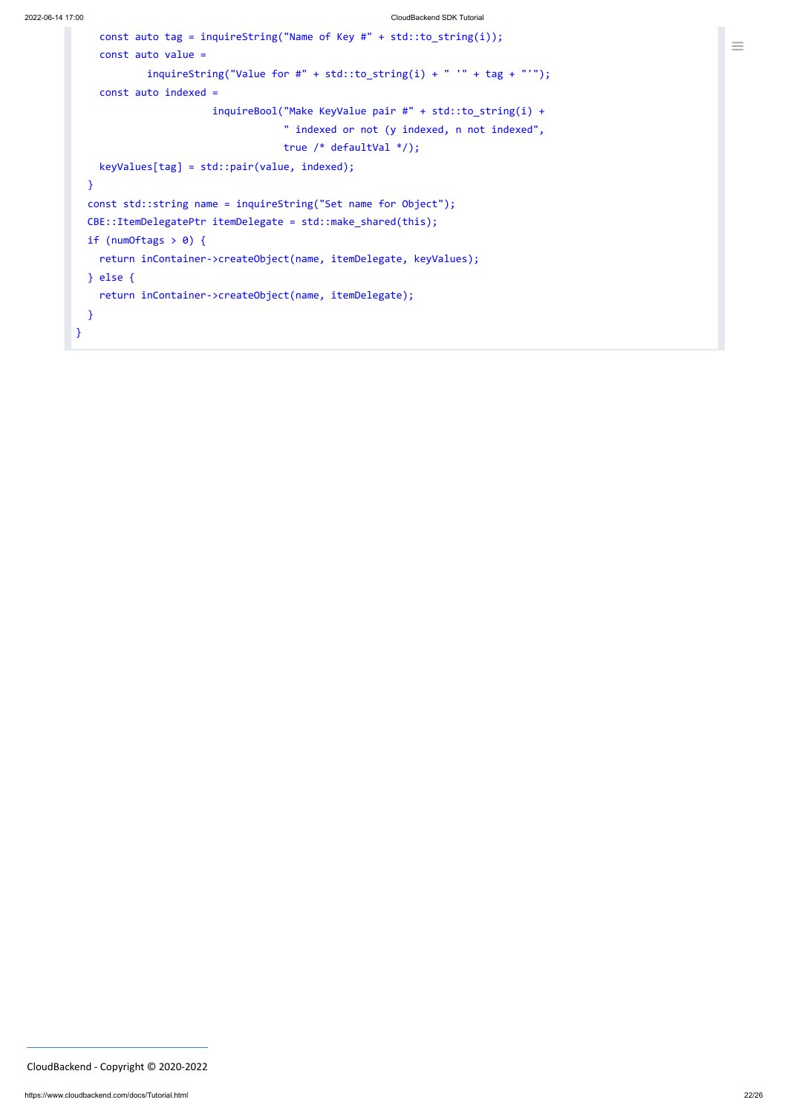```
const auto tag = inquireString("Name of Key #" + std::to_string(i));
   const auto value =
            inquireString("Value for #" + std::to_string(i) + " " " + tag + " "");const auto indexed =
                       inquireBool("Make KeyValue pair #" + std::to_string(i) +
                                   " indexed or not (y indexed, n not indexed",
                                  true /* defaultVal */);
   keyValues[tag] = std::pair(value, indexed);
 }
 const std::string name = inquireString("Set name for Object");
 CBE::ItemDelegatePtr itemDelegate = std::make_shared(this);
 if (numOftags > 0) {
   return inContainer->createObject(name, itemDelegate, keyValues);
 } else {
    return inContainer->createObject(name, itemDelegate);
 }
}
```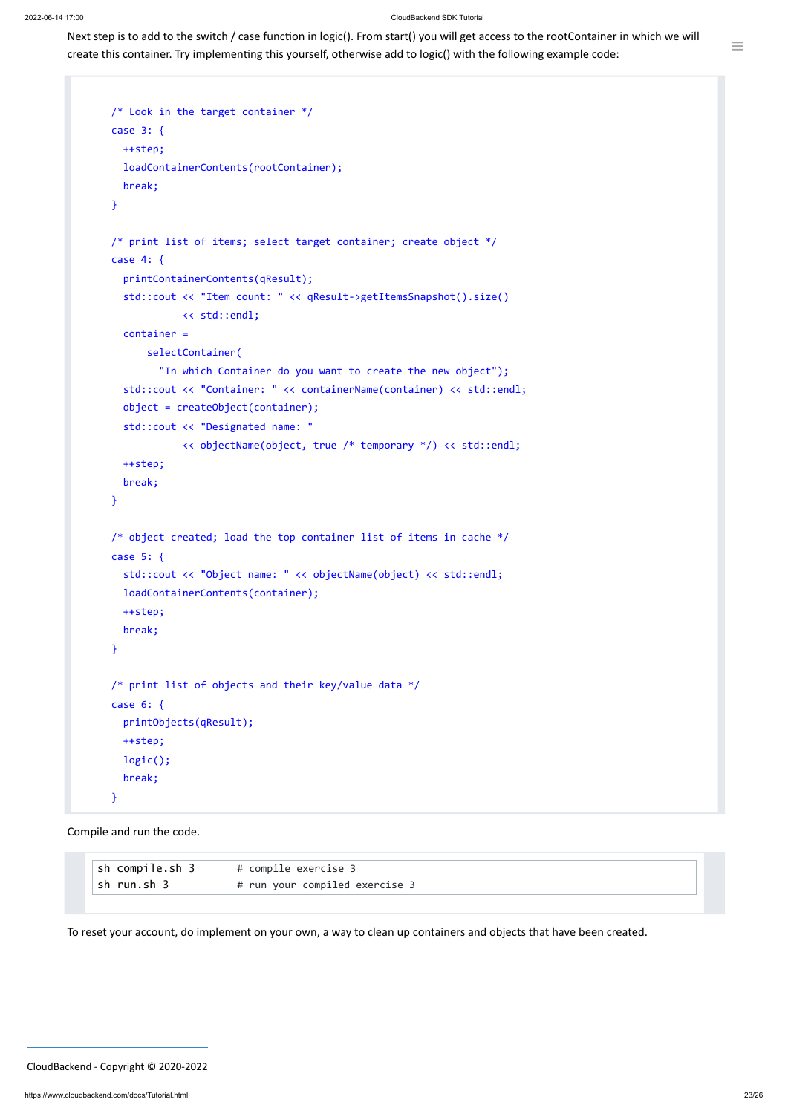Next step is to add to the switch / case function in logic(). From start() you will get access to the rootContainer in which we will create this container. Try implementing this yourself, otherwise add to logic() with the following example code:

```
/* Look in the target container */case 3: {
 ++step;
  loadContainerContents(rootContainer);
 break;
}
/* print list of items; select target container; create object */
case 4: {
  printContainerContents(qResult);
  std::cout << "Item count: " << qResult->getItemsSnapshot().size()
            << std::endl;
  container =
      selectContainer(
        "In which Container do you want to create the new object");
  std::cout << "Container: " << containerName(container) << std::endl;
  object = createObject(container);
  std::cout << "Designated name: "
            << objectName(object, true /* temporary */) << std::endl;
  ++step;
  break;
}
/* object created; load the top container list of items in cache */
case 5: {
  std::cout << "Object name: " << objectName(object) << std::endl;
  loadContainerContents(container);
  ++step;
  break;
}
/* print list of objects and their key/value data */
case 6: {
  printObjects(qResult);
 ++step;
  logic();
  break;
}
```
Compile and run the code.

 $\equiv$ 

To reset your account, do implement on your own, a way to clean up containers and objects that have been created.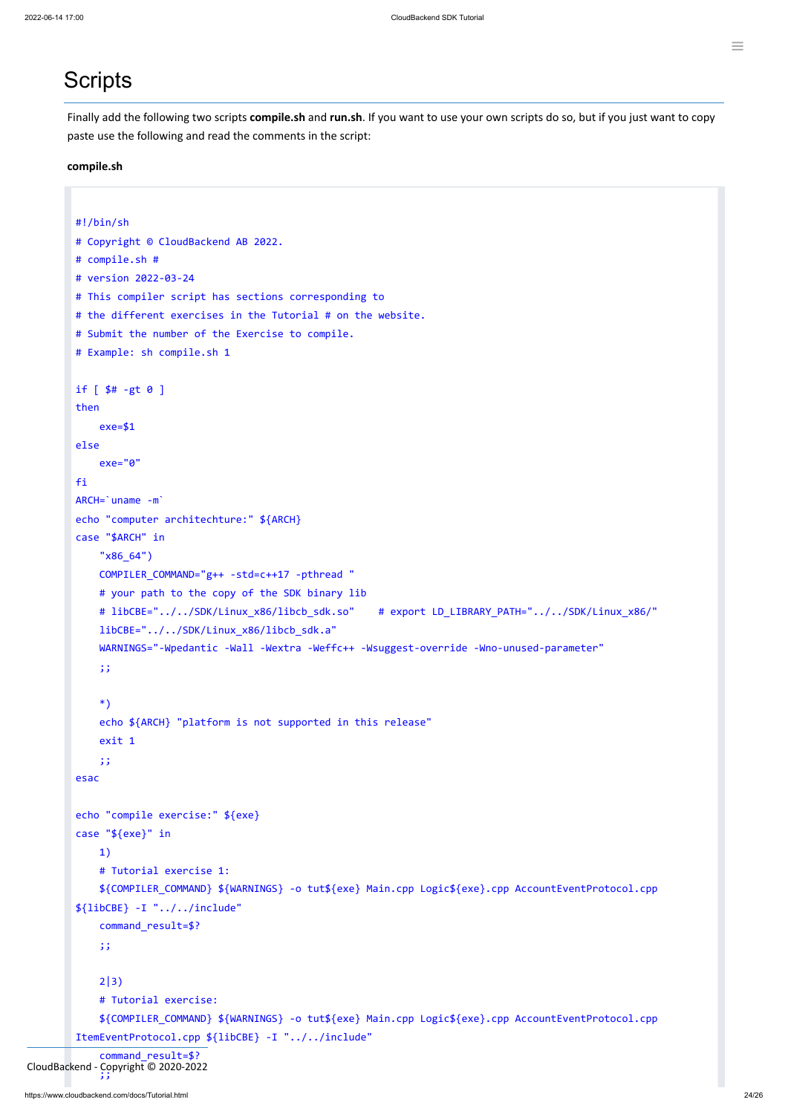## <span id="page-23-0"></span>**Scripts**

Finally add the following two scripts **compile.sh** and **run.sh**. If you want to use your own scripts do so, but if you just want to copy paste use the following and read the comments in the script:

#### **compile.sh**

```
#!/bin/sh
# Copyright © CloudBackend AB 2022.
# compile.sh #
# version 2022-03-24
# This compiler script has sections corresponding to
# the different exercises in the Tutorial # on the website.
# Submit the number of the Exercise to compile.
# Example: sh compile.sh 1
if [ $# -gt 0 ]
then
    exe=$1
else
    exe="0"
fi
ARCH=`uname -m`
echo "computer architechture:" ${ARCH}
case "$ARCH" in
    "x86_64")
    COMPILER_COMMAND="g++ -std=c++17 -pthread "
    # your path to the copy of the SDK binary lib
    # libCBE="../../SDK/Linux_x86/libcb_sdk.so" # export LD_LIBRARY_PATH="../../SDK/Linux_x86/"
    libCBE="../../SDK/Linux_x86/libcb_sdk.a"
    WARNINGS="-Wpedantic -Wall -Wextra -Weffc++ -Wsuggest-override -Wno-unused-parameter"
    ;;
    *)
    echo ${ARCH} "platform is not supported in this release"
    exit 1
    ;;
esac
echo "compile exercise:" ${exe}
case "${exe}" in
```

```
1)
```

```
# Tutorial exercise 1:
            ${COMPILER_COMMAND} ${WARNINGS} -o tut${exe} Main.cpp Logic${exe}.cpp AccountEventProtocol.cpp
        ${libCBE} -I "../../include"
            command_result=$?
            ;;
            2|3)
            # Tutorial exercise:
            ${COMPILER_COMMAND} ${WARNINGS} -o tut${exe} Main.cpp Logic${exe}.cpp AccountEventProtocol.cpp
        ItemEventProtocol.cpp ${libCBE} -I "../../include"
            command result=$?
            ز ر
CloudBackend - Copyright © 2020-2022
```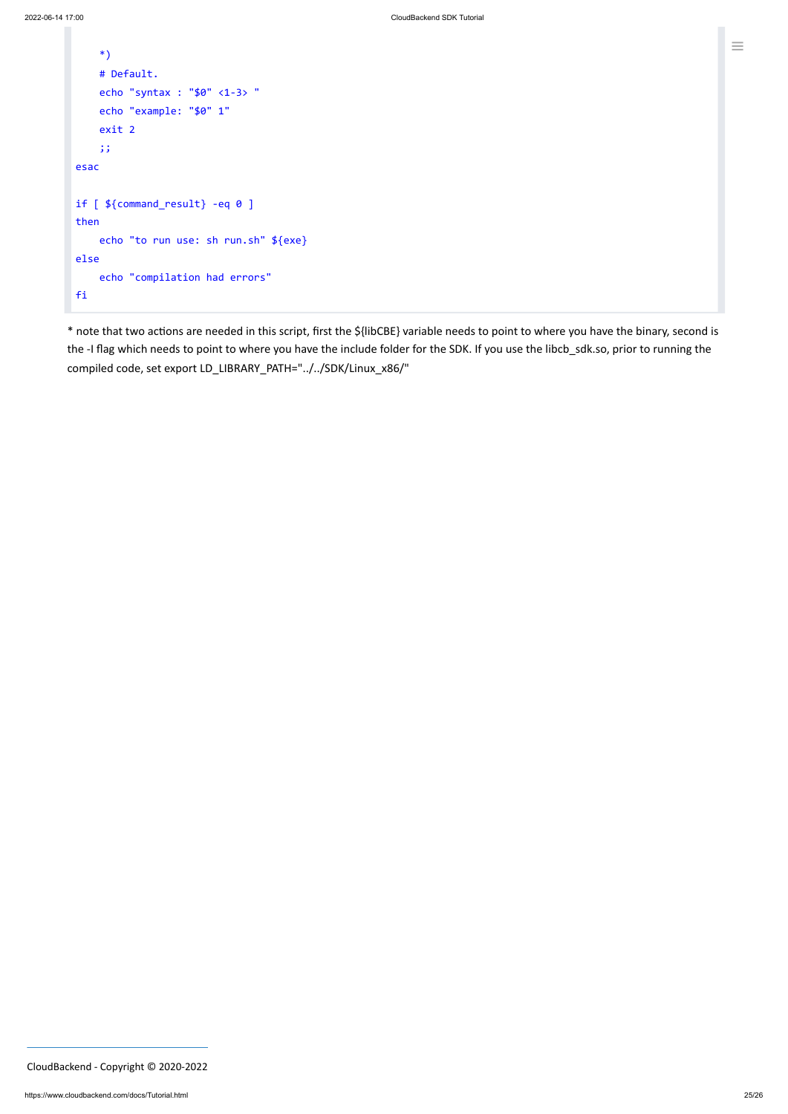```
*)
   # Default.
   echo "syntax : "$0" <1-3> "
   echo "example: "$0" 1"
    exit 2
    ;;
esac
if [ ${command_result} -eq 0 ]
then
    echo "to run use: sh run.sh" ${exe}
else
    echo "compilation had errors"
fi
```
\* note that two actions are needed in this script, first the \${libCBE} variable needs to point to where you have the binary, second is the -I flag which needs to point to where you have the include folder for the SDK. If you use the libcb\_sdk.so, prior to running the compiled code, set export LD\_LIBRARY\_PATH="../../SDK/Linux\_x86/"